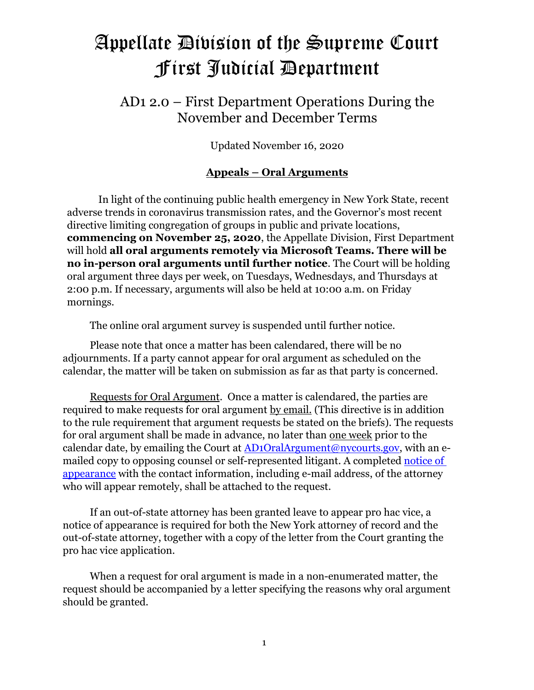# Appellate Division of the Supreme Court First Judicial Department

# AD1 2.0 – First Department Operations During the November and December Terms

Updated November 16, 2020

# **Appeals – Oral Arguments**

In light of the continuing public health emergency in New York State, recent adverse trends in coronavirus transmission rates, and the Governor's most recent directive limiting congregation of groups in public and private locations, **commencing on November 25, 2020**, the Appellate Division, First Department will hold **all oral arguments remotely via Microsoft Teams. There will be no in-person oral arguments until further notice**. The Court will be holding oral argument three days per week, on Tuesdays, Wednesdays, and Thursdays at 2:00 p.m. If necessary, arguments will also be held at 10:00 a.m. on Friday mornings.

The online oral argument survey is suspended until further notice.

Please note that once a matter has been calendared, there will be no adjournments. If a party cannot appear for oral argument as scheduled on the calendar, the matter will be taken on submission as far as that party is concerned.

Requests for Oral Argument. Once a matter is calendared, the parties are required to make requests for oral argument by email. (This directive is in addition to the rule requirement that argument requests be stated on the briefs). The requests for oral argument shall be made in advance, no later than one week prior to the calendar date, by emailing the Court at [AD1OralArgument@nycourts.gov,](mailto:AD1OralArgument@nycourts.gov) with an emailed copy to opposing counsel or self-represented litigant. A completed [notice of](http://www.courts.state.ny.us/courts/AD1/pdfs/NoticeofAppearance.pdf)  [appearance](http://www.courts.state.ny.us/courts/AD1/pdfs/NoticeofAppearance.pdf) with the contact information, including e-mail address, of the attorney who will appear remotely, shall be attached to the request.

If an out-of-state attorney has been granted leave to appear pro hac vice, a notice of appearance is required for both the New York attorney of record and the out-of-state attorney, together with a copy of the letter from the Court granting the pro hac vice application.

When a request for oral argument is made in a non-enumerated matter, the request should be accompanied by a letter specifying the reasons why oral argument should be granted.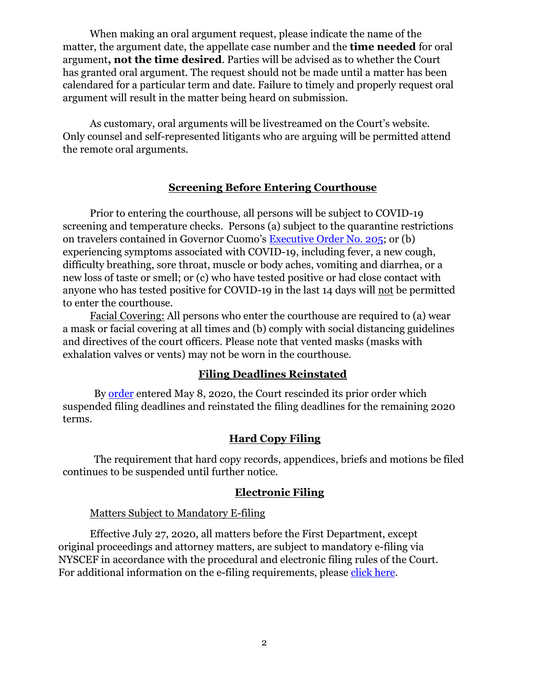When making an oral argument request, please indicate the name of the matter, the argument date, the appellate case number and the **time needed** for oral argument**, not the time desired**. Parties will be advised as to whether the Court has granted oral argument. The request should not be made until a matter has been calendared for a particular term and date. Failure to timely and properly request oral argument will result in the matter being heard on submission.

As customary, oral arguments will be livestreamed on the Court's website. Only counsel and self-represented litigants who are arguing will be permitted attend the remote oral arguments.

# **Screening Before Entering Courthouse**

Prior to entering the courthouse, all persons will be subject to COVID-19 screening and temperature checks. Persons (a) subject to the quarantine restrictions on travelers contained in Governor Cuomo's [Executive Order No. 205;](https://www.governor.ny.gov/news/no-205-quarantine-restrictions-travelers-arriving-new-york) or (b) experiencing symptoms associated with COVID-19, including fever, a new cough, difficulty breathing, sore throat, muscle or body aches, vomiting and diarrhea, or a new loss of taste or smell; or (c) who have tested positive or had close contact with anyone who has tested positive for COVID-19 in the last 14 days will not be permitted to enter the courthouse.

Facial Covering: All persons who enter the courthouse are required to (a) wear a mask or facial covering at all times and (b) comply with social distancing guidelines and directives of the court officers. Please note that vented masks (masks with exhalation valves or vents) may not be worn in the courthouse.

# **Filing Deadlines Reinstated**

By [order](http://www.nycourts.gov/courts/AD1/PDFs/RescissionOrder.pdf) entered May 8, 2020, the Court rescinded its prior order which suspended filing deadlines and reinstated the filing deadlines for the remaining 2020 terms.

# **Hard Copy Filing**

The requirement that hard copy records, appendices, briefs and motions be filed continues to be suspended until further notice.

#### **Electronic Filing**

#### Matters Subject to Mandatory E-filing

Effective July 27, 2020, all matters before the First Department, except original proceedings and attorney matters, are subject to mandatory e-filing via NYSCEF in accordance with the procedural and electronic filing rules of the Court. For additional information on the e-filing requirements, please [click here.](http://www.nycourts.gov/courts/ad1/e-filing/efiling.shtml)